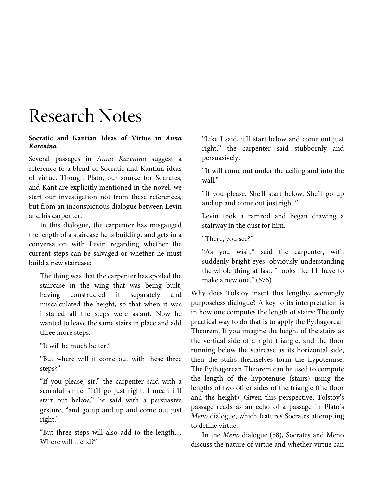# Research Notes

## **Socratic and Kantian Ideas of Virtue in** *Anna Karenina*

Several passages in *Anna Karenina* suggest a reference to a blend of Socratic and Kantian ideas of virtue. Though Plato, our source for Socrates, and Kant are explicitly mentioned in the novel, we start our investigation not from these references, but from an inconspicuous dialogue between Levin and his carpenter.

In this dialogue, the carpenter has misgauged the length of a staircase he is building, and gets in a conversation with Levin regarding whether the current steps can be salvaged or whether he must build a new staircase:

The thing was that the carpenter has spoiled the staircase in the wing that was being built, having constructed it separately and miscalculated the height, so that when it was installed all the steps were aslant. Now he wanted to leave the same stairs in place and add three more steps.

"It will be much better."

"But where will it come out with these three steps?"

"If you please, sir," the carpenter said with a scornful smile. "It'll go just right. I mean it'll start out below," he said with a persuasive gesture, "and go up and up and come out just right."

"But three steps will also add to the length… Where will it end?"

"Like I said, it'll start below and come out just right," the carpenter said stubbornly and persuasively.

"It will come out under the ceiling and into the wall."

"If you please. She'll start below. She'll go up and up and come out just right."

Levin took a ramrod and began drawing a stairway in the dust for him.

"There, you see?"

"As you wish," said the carpenter, with suddenly bright eyes, obviously understanding the whole thing at last. "Looks like I'll have to make a new one." (576)

Why does Tolstoy insert this lengthy, seemingly purposeless dialogue? A key to its interpretation is in how one computes the length of stairs: The only practical way to do that is to apply the Pythagorean Theorem. If you imagine the height of the stairs as the vertical side of a right triangle, and the floor running below the staircase as its horizontal side, then the stairs themselves form the hypotenuse. The Pythagorean Theorem can be used to compute the length of the hypotenuse (stairs) using the lengths of two other sides of the triangle (the floor and the height). Given this perspective, Tolstoy's passage reads as an echo of a passage in Plato's *Meno* dialogue, which features Socrates attempting to define virtue.

In the *Meno* dialogue (58), Socrates and Meno discuss the nature of virtue and whether virtue can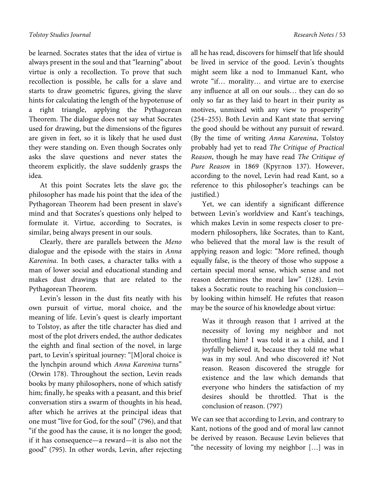be learned. Socrates states that the idea of virtue is always present in the soul and that "learning" about virtue is only a recollection. To prove that such recollection is possible, he calls for a slave and starts to draw geometric figures, giving the slave hints for calculating the length of the hypotenuse of a right triangle, applying the Pythagorean Theorem. The dialogue does not say what Socrates used for drawing, but the dimensions of the figures are given in feet, so it is likely that he used dust they were standing on. Even though Socrates only asks the slave questions and never states the theorem explicitly, the slave suddenly grasps the idea.

At this point Socrates lets the slave go; the philosopher has made his point that the idea of the Pythagorean Theorem had been present in slave's mind and that Socrates's questions only helped to formulate it. Virtue, according to Socrates, is similar, being always present in our souls.

Clearly, there are parallels between the *Meno* dialogue and the episode with the stairs in *Anna Karenina*. In both cases, a character talks with a man of lower social and educational standing and makes dust drawings that are related to the Pythagorean Theorem.

Levin's lesson in the dust fits neatly with his own pursuit of virtue, moral choice, and the meaning of life. Levin's quest is clearly important to Tolstoy, as after the title character has died and most of the plot drivers ended, the author dedicates the eighth and final section of the novel, in large part, to Levin's spiritual journey: "[M]oral choice is the lynchpin around which *Anna Karenina* turns" (Orwin 178). Throughout the section, Levin reads books by many philosophers, none of which satisfy him; finally, he speaks with a peasant, and this brief conversation stirs a swarm of thoughts in his head, after which he arrives at the principal ideas that one must "live for God, for the soul" (796), and that "if the good has the cause, it is no longer the good; if it has consequence—a reward—it is also not the good" (795). In other words, Levin, after rejecting

all he has read, discovers for himself that life should be lived in service of the good. Levin's thoughts might seem like a nod to Immanuel Kant, who wrote "if… morality… and virtue are to exercise any influence at all on our souls… they can do so only so far as they laid to heart in their purity as motives, unmixed with any view to prosperity" (254–255). Both Levin and Kant state that serving the good should be without any pursuit of reward. (By the time of writing *Anna Karenina*, Tolstoy probably had yet to read *The Critique of Practical Reason*, though he may have read *The Critique of Pure Reason* in 1869 (Круглов 137). However, according to the novel, Levin had read Kant, so a reference to this philosopher's teachings can be justified.)

Yet, we can identify a significant difference between Levin's worldview and Kant's teachings, which makes Levin in some respects closer to premodern philosophers, like Socrates, than to Kant, who believed that the moral law is the result of applying reason and logic: "More refined, though equally false, is the theory of those who suppose a certain special moral sense, which sense and not reason determines the moral law" (128). Levin takes a Socratic route to reaching his conclusion by looking within himself. He refutes that reason may be the source of his knowledge about virtue:

Was it through reason that I arrived at the necessity of loving my neighbor and not throttling him? I was told it as a child, and I joyfully believed it, because they told me what was in my soul. And who discovered it? Not reason. Reason discovered the struggle for existence and the law which demands that everyone who hinders the satisfaction of my desires should be throttled. That is the conclusion of reason. (797)

We can see that according to Levin, and contrary to Kant, notions of the good and of moral law cannot be derived by reason. Because Levin believes that "the necessity of loving my neighbor […] was in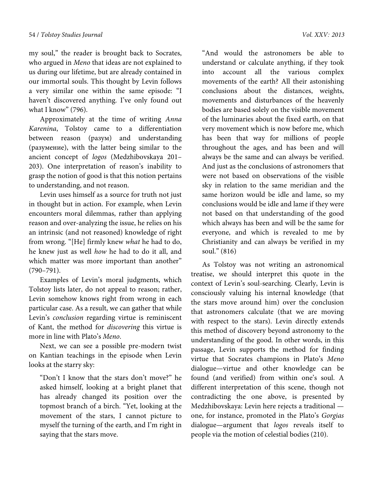my soul," the reader is brought back to Socrates, who argued in *Meno* that ideas are not explained to us during our lifetime, but are already contained in our immortal souls. This thought by Levin follows a very similar one within the same episode: "I haven't discovered anything. I've only found out what I know" (796).

Approximately at the time of writing *Anna Karenina*, Tolstoy came to a differentiation between reason (разум) and understanding (разумение), with the latter being similar to the ancient concept of *logos* (Medzhibovskaya 201– 203). One interpretation of reason's inability to grasp the notion of good is that this notion pertains to understanding, and not reason.

Levin uses himself as a source for truth not just in thought but in action. For example, when Levin encounters moral dilemmas, rather than applying reason and over-analyzing the issue, he relies on his an intrinsic (and not reasoned) knowledge of right from wrong. "[He] firmly knew *what* he had to do, he knew just as well *how* he had to do it all, and which matter was more important than another" (790–791).

Examples of Levin's moral judgments, which Tolstoy lists later, do not appeal to reason; rather, Levin somehow knows right from wrong in each particular case. As a result, we can gather that while Levin's *conclusion* regarding virtue is reminiscent of Kant, the method for *discovering* this virtue is more in line with Plato's *Meno*.

Next, we can see a possible pre-modern twist on Kantian teachings in the episode when Levin looks at the starry sky:

"Don't I know that the stars don't move?" he asked himself, looking at a bright planet that has already changed its position over the topmost branch of a birch. "Yet, looking at the movement of the stars, I cannot picture to myself the turning of the earth, and I'm right in saying that the stars move.

"And would the astronomers be able to understand or calculate anything, if they took into account all the various complex movements of the earth? All their astonishing conclusions about the distances, weights, movements and disturbances of the heavenly bodies are based solely on the visible movement of the luminaries about the fixed earth, on that very movement which is now before me, which has been that way for millions of people throughout the ages, and has been and will always be the same and can always be verified. And just as the conclusions of astronomers that were not based on observations of the visible sky in relation to the same meridian and the same horizon would be idle and lame, so my conclusions would be idle and lame if they were not based on that understanding of the good which always has been and will be the same for everyone, and which is revealed to me by Christianity and can always be verified in my soul." (816)

As Tolstoy was not writing an astronomical treatise, we should interpret this quote in the context of Levin's soul-searching. Clearly, Levin is consciously valuing his internal knowledge (that the stars move around him) over the conclusion that astronomers calculate (that we are moving with respect to the stars). Levin directly extends this method of discovery beyond astronomy to the understanding of the good. In other words, in this passage, Levin supports the method for finding virtue that Socrates champions in Plato's *Meno* dialogue—virtue and other knowledge can be found (and verified) from within one's soul. A different interpretation of this scene, though not contradicting the one above, is presented by Medzhibovskaya: Levin here rejects a traditional one, for instance, promoted in the Plato's *Gorgias* dialogue—argument that *logos* reveals itself to people via the motion of celestial bodies (210).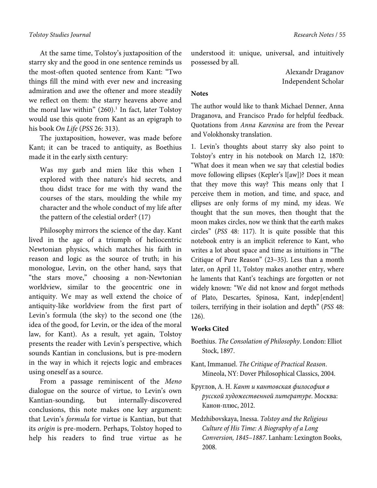At the same time, Tolstoy's juxtaposition of the starry sky and the good in one sentence reminds us the most-often quoted sentence from Kant: "Two things fill the mind with ever new and increasing admiration and awe the oftener and more steadily we reflect on them: the starry heavens above and the moral law within" (260).<sup>1</sup> In fact, later Tolstoy would use this quote from Kant as an epigraph to his book *On Life* (*PSS* 26: 313).

The juxtaposition, however, was made before Kant; it can be traced to antiquity, as Boethius made it in the early sixth century:

Was my garb and mien like this when I explored with thee nature's hid secrets, and thou didst trace for me with thy wand the courses of the stars, moulding the while my character and the whole conduct of my life after the pattern of the celestial order? (17)

Philosophy mirrors the science of the day. Kant lived in the age of a triumph of heliocentric Newtonian physics, which matches his faith in reason and logic as the source of truth; in his monologue, Levin, on the other hand, says that "the stars move," choosing a non-Newtonian worldview, similar to the geocentric one in antiquity. We may as well extend the choice of antiquity-like worldview from the first part of Levin's formula (the sky) to the second one (the idea of the good, for Levin, or the idea of the moral law, for Kant). As a result, yet again, Tolstoy presents the reader with Levin's perspective, which sounds Kantian in conclusions, but is pre-modern in the way in which it rejects logic and embraces using oneself as a source.

From a passage reminiscent of the *Meno* dialogue on the source of virtue, to Levin's own Kantian-sounding, but internally-discovered conclusions, this note makes one key argument: that Levin's *formula* for virtue is Kantian, but that its *origin* is pre-modern. Perhaps, Tolstoy hoped to help his readers to find true virtue as he

understood it: unique, universal, and intuitively possessed by all.

> Alexandr Draganov Independent Scholar

## **Notes**

The author would like to thank Michael Denner, Anna Draganova, and Francisco Prado for helpful feedback. Quotations from *Anna Karenina* are from the Pevear and Volokhonsky translation.

1. Levin's thoughts about starry sky also point to Tolstoy's entry in his notebook on March 12, 1870: "What does it mean when we say that celestial bodies move following ellipses (Kepler's l[aw])? Does it mean that they move this way? This means only that I perceive them in motion, and time, and space, and ellipses are only forms of my mind, my ideas. We thought that the sun moves, then thought that the moon makes circles, now we think that the earth makes circles" (*PSS* 48: 117). It is quite possible that this notebook entry is an implicit reference to Kant, who writes a lot about space and time as intuitions in "The Critique of Pure Reason" (23–35). Less than a month later, on April 11, Tolstoy makes another entry, where he laments that Kant's teachings are forgotten or not widely known: "We did not know and forgot methods of Plato, Descartes, Spinosa, Kant, indep[endent] toilers, terrifying in their isolation and depth" (*PSS* 48: 126).

#### **Works Cited**

- Boethius. *The Consolation of Philosophy*. London: Elliot Stock, 1897.
- Kant, Immanuel. *The Critique of Practical Reason*. Mineola, NY: Dover Philosophical Classics, 2004.
- Круглов, А. Н. *Кант и кантовская философия в русской художественной литературе*. Москва: Канон-плюс, 2012.
- Medzhibovskaya, Inessa. *Tolstoy and the Religious Culture of His Time: A Biography of a Long Conversion, 1845*–*1887*. Lanham: Lexington Books, 2008.